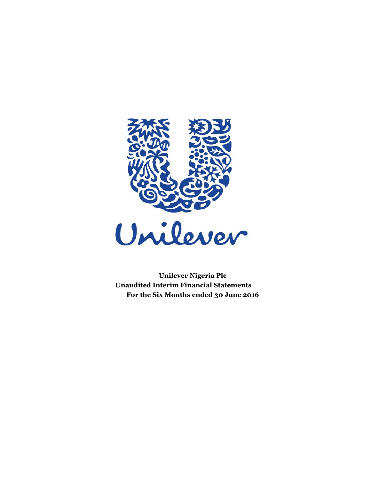

 **Unilever Nigeria Plc Unaudited Interim Financial Statements For the Six Months ended 30 June 2016**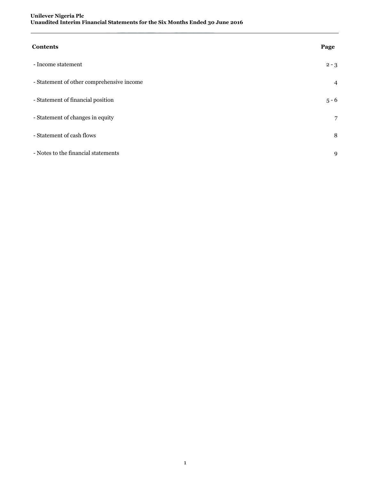| <b>Contents</b>                           | Page           |
|-------------------------------------------|----------------|
| - Income statement                        | $2 - 3$        |
| - Statement of other comprehensive income | $\overline{4}$ |
| - Statement of financial position         | $5 - 6$        |
| - Statement of changes in equity          | 7              |
| - Statement of cash flows                 | 8              |
| - Notes to the financial statements       | 9              |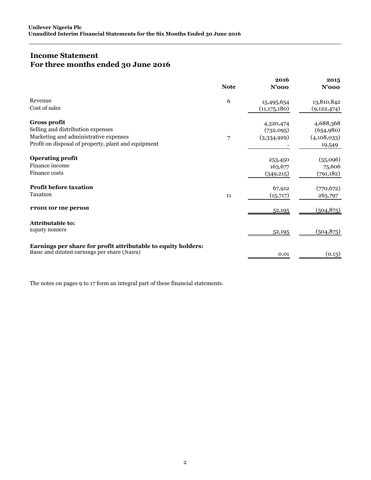# **Income Statement For three months ended 30 June 2016**

|                                                               | <b>Note</b> | 2016<br>$N'$ 000 | 2015<br>$N'$ 000 |
|---------------------------------------------------------------|-------------|------------------|------------------|
| Revenue                                                       | 6           | 15,495,654       | 13,810,842       |
| Cost of sales                                                 |             | (11, 175, 180)   | (9, 122, 474)    |
| <b>Gross profit</b>                                           |             | 4,320,474        | 4,688,368        |
| Selling and distribution expenses                             |             | (732,095)        | (654,980)        |
| Marketing and administrative expenses                         | 7           | (3,334,929)      | (4,108,033)      |
| Profit on disposal of property, plant and equipment           |             |                  | 19,549           |
| <b>Operating profit</b>                                       |             | 253,450          | (55,096)         |
| Finance income                                                |             | 163,677          | 75,606           |
| Finance costs                                                 |             | (349, 215)       | (791, 182)       |
| <b>Profit before taxation</b>                                 |             | 67,912           | (770, 672)       |
| Taxation                                                      | 11          | (15,717)         | 265,797          |
| Profit for the period                                         |             | 52,195           | (504, 875)       |
| <b>Attributable to:</b>                                       |             |                  |                  |
| <b>Equity holders</b>                                         |             | 52,195           | (504, 875)       |
| Earnings per share for profit attributable to equity holders: |             |                  |                  |
| Basic and diluted earnings per share (Naira)                  |             | 0.01             | (0.13)           |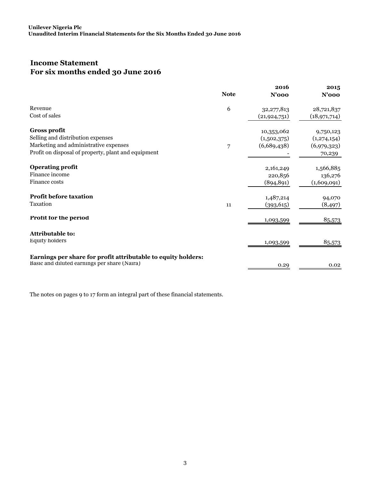# **Income Statement For six months ended 30 June 2016**

| <b>Note</b> | 2016<br>$N'$ 000 | 2015<br>$N'$ 000                                                                              |
|-------------|------------------|-----------------------------------------------------------------------------------------------|
| 6           |                  | 28,721,837                                                                                    |
|             | (21, 924, 751)   | (18, 971, 714)                                                                                |
|             |                  | 9,750,123                                                                                     |
|             |                  | (1, 274, 154)                                                                                 |
| 7           |                  | (6,979,323)                                                                                   |
|             |                  | 70,239                                                                                        |
|             |                  | 1,566,885                                                                                     |
|             |                  | 136,276                                                                                       |
|             | (894, 891)       | (1,609,091)                                                                                   |
|             |                  | 94,070                                                                                        |
| 11          | (393, 615)       | (8, 497)                                                                                      |
|             | 1,093,599        | 85,573                                                                                        |
|             |                  |                                                                                               |
|             | 1,093,599        | 85,573                                                                                        |
|             |                  |                                                                                               |
|             | 0.29             | 0.02                                                                                          |
|             |                  | 32, 277, 813<br>10,353,062<br>(1,502,375)<br>(6,689,438)<br>2,161,249<br>220,856<br>1,487,214 |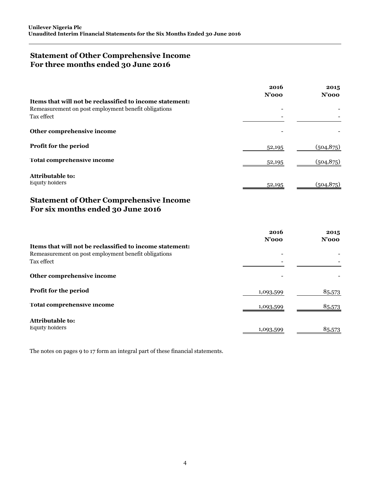## **Statement of Other Comprehensive Income For three months ended 30 June 2016**

| 2016<br>$N'$ 000 | 2015<br>$N'$ 000 |
|------------------|------------------|
|                  |                  |
|                  |                  |
|                  |                  |
|                  |                  |
| 52,195           | (504, 875)       |
| 52,195           | (504, 875)       |
|                  |                  |
| 52,195           | (504, 875)       |
|                  |                  |

# **Statement of Other Comprehensive Income For six months ended 30 June 2016**

|                                                          | 2016<br>$N'$ 000 | 2015<br>$N'$ 000 |
|----------------------------------------------------------|------------------|------------------|
| Items that will not be reclassified to income statement: |                  |                  |
| Remeasurement on post employment benefit obligations     |                  |                  |
| Tax effect                                               |                  |                  |
| Other comprehensive income                               |                  |                  |
| Profit for the period                                    | 1,093,599        | 85,573           |
| Total comprehensive income                               | 1,093,599        | 85,573           |
| <b>Attributable to:</b>                                  |                  |                  |
| <b>Equity holders</b>                                    | 1,093,599        | 85,573           |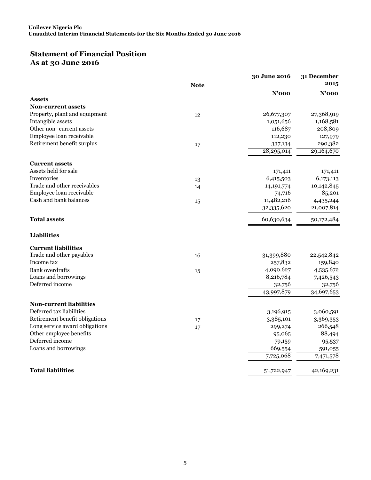# **Statement of Financial Position As at 30 June 2016**

|                                |             | 30 June 2016          | 31 December           |
|--------------------------------|-------------|-----------------------|-----------------------|
|                                | <b>Note</b> |                       | 2015                  |
|                                |             | $N'$ 000              | $N'$ 000              |
| <b>Assets</b>                  |             |                       |                       |
| <b>Non-current assets</b>      |             |                       |                       |
| Property, plant and equipment  | 12          | 26,677,307            | 27,368,919            |
| Intangible assets              |             | 1,051,656             | 1,168,581             |
| Other non-current assets       |             | 116,687               | 208,809               |
| Employee loan receivable       |             | 112,230               | 127,979               |
| Retirement benefit surplus     | 17          | 337,134<br>28,295,014 | 290,382<br>29,164,670 |
| <b>Current assets</b>          |             |                       |                       |
| Assets held for sale           |             | 171,411               | 171,411               |
| Inventories                    | 13          | 6,415,503             | 6,173,113             |
| Trade and other receivables    | 14          | 14, 191, 774          | 10,142,845            |
| Employee loan receivable       |             | 74,716                | 85,201                |
| Cash and bank balances         | 15          | 11,482,216            | 4,435,244             |
|                                |             | 32,335,620            | 21,007,814            |
| <b>Total assets</b>            |             | 60,630,634            | 50,172,484            |
| <b>Liabilities</b>             |             |                       |                       |
| <b>Current liabilities</b>     |             |                       |                       |
| Trade and other payables       | 16          | 31,399,880            | 22,542,842            |
| Income tax                     |             | 257,832               | 159,840               |
| <b>Bank</b> overdrafts         | 15          | 4,090,627             | 4,535,672             |
| Loans and borrowings           |             | 8,216,784             | 7,426,543             |
| Deferred income                |             | 32,756                | 32,756                |
|                                |             | 43,997,879            | 34,697,653            |
| <b>Non-current liabilities</b> |             |                       |                       |
| Deferred tax liabilities       |             | 3,196,915             | 3,060,591             |
| Retirement benefit obligations | 17          | 3,385,101             | 3,369,353             |
| Long service award obligations | 17          | 299,274               | 266,548               |
| Other employee benefits        |             | 95,065                | 88,494                |
| Deferred income                |             | 79,159                | 95,537                |
| Loans and borrowings           |             | 669,554               | 591,055               |
|                                |             | 7,725,068             | 7,471,578             |
| <b>Total liabilities</b>       |             | 51,722,947            | 42,169,231            |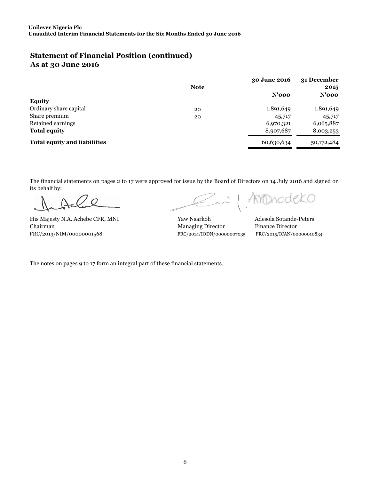# **Statement of Financial Position (continued) As at 30 June 2016**

|                                     | <b>Note</b> | 30 June 2016 | 31 December<br>2015 |  |
|-------------------------------------|-------------|--------------|---------------------|--|
|                                     |             | $N'$ 000     | $N'$ 000            |  |
| <b>Equity</b>                       |             |              |                     |  |
| Ordinary share capital              | 20          | 1,891,649    | 1,891,649           |  |
| Share premium                       | 20          | 45,717       | 45,717              |  |
| Retained earnings                   |             | 6,970,321    | 6,065,887           |  |
| <b>Total equity</b>                 |             | 8,907,687    | 8,003,253           |  |
| <b>Total equity and liabilities</b> |             | 60,630,634   | 50,172,484          |  |

The financial statements on pages 2 to 17 were approved for issue by the Board of Directors on 14 July 2016 and signed on its behalf by:

His Majesty N.A. Achebe CFR, MNI Yaw Nsarkoh Adesola Sotande-Peters Chairman Managing Director Finance Director FRC/2013/NIM/00000001568 FRC/2014/IODN/00000007035 FRC/2015/ICAN/00000010834

AnDhodekO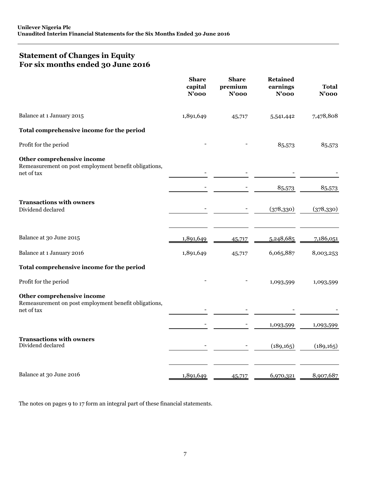## **Statement of Changes in Equity For six months ended 30 June 2016**

|                                                                                                   | <b>Share</b><br>capital<br>$N'$ 000 | <b>Share</b><br>premium<br>$N'$ 000 | <b>Retained</b><br>earnings<br>$N'$ 000 | Total<br>$N'$ 000 |
|---------------------------------------------------------------------------------------------------|-------------------------------------|-------------------------------------|-----------------------------------------|-------------------|
| Balance at 1 January 2015                                                                         | 1,891,649                           | 45,717                              | 5,541,442                               | 7,478,808         |
| Total comprehensive income for the period                                                         |                                     |                                     |                                         |                   |
| Profit for the period                                                                             |                                     |                                     | 85,573                                  | 85,573            |
| Other comprehensive income<br>Remeasurement on post employment benefit obligations,<br>net of tax |                                     |                                     |                                         |                   |
|                                                                                                   |                                     |                                     | 85,573                                  | 85,573            |
| <b>Transactions with owners</b><br>Dividend declared                                              |                                     |                                     | (378, 330)                              | (378, 330)        |
| Balance at 30 June 2015                                                                           | 1,891,649                           | 45,717                              | 5,248,685                               | 7,186,051         |
| Balance at 1 January 2016                                                                         | 1,891,649                           | 45,717                              | 6,065,887                               | 8,003,253         |
| Total comprehensive income for the period                                                         |                                     |                                     |                                         |                   |
| Profit for the period                                                                             |                                     |                                     | 1,093,599                               | 1,093,599         |
| Other comprehensive income<br>Remeasurement on post employment benefit obligations,<br>net of tax |                                     |                                     |                                         |                   |
|                                                                                                   |                                     |                                     | 1,093,599                               | 1,093,599         |
| <b>Transactions with owners</b><br>Dividend declared                                              |                                     |                                     | (189, 165)                              | (189, 165)        |
| Balance at 30 June 2016                                                                           | 1,891,649                           | 45,717                              | 6,970,321                               | 8,907,687         |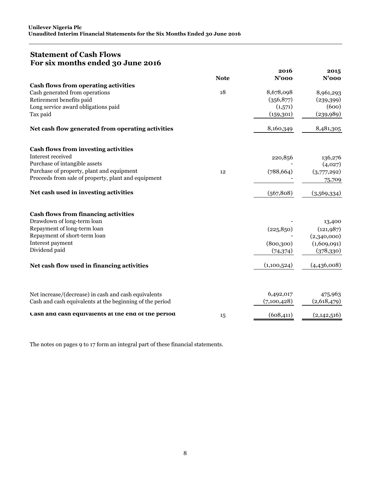## **Statement of Cash Flows For six months ended 30 June 2016**

|                                                          |             | 2016        | 2015        |
|----------------------------------------------------------|-------------|-------------|-------------|
|                                                          | <b>Note</b> | $N'$ 000    | $N'$ 000    |
| Cash flows from operating activities                     |             |             |             |
| Cash generated from operations                           | 18          | 8,678,098   | 8,961,293   |
| Retirement benefits paid                                 |             | (356,877)   | (239,399)   |
| Long service award obligations paid                      |             | (1,571)     | (600)       |
| Tax paid                                                 |             | (159, 301)  | (239, 989)  |
| Net cash flow generated from operating activities        |             | 8,160,349   | 8,481,305   |
| <b>Cash flows from investing activities</b>              |             |             |             |
| Interest received                                        |             | 220,856     | 136,276     |
| Purchase of intangible assets                            |             |             | (4,027)     |
| Purchase of property, plant and equipment                | 12          | (788, 664)  | (3,777,292) |
| Proceeds from sale of property, plant and equipment      |             |             | 75,709      |
| Net cash used in investing activities                    |             | (567, 808)  | (3,569,334) |
| <b>Cash flows from financing activities</b>              |             |             |             |
| Drawdown of long-term loan                               |             |             | 13,400      |
| Repayment of long-term loan                              |             | (225, 850)  | (121, 987)  |
| Repayment of short-term loan                             |             |             | (2,340,000) |
| Interest payment                                         |             | (800, 300)  | (1,609,091) |
| Dividend paid                                            |             | (74,374)    | (378, 330)  |
| Net cash flow used in financing activities               |             | (1,100,524) | (4,436,008) |
|                                                          |             |             |             |
| Net increase/(decrease) in cash and cash equivalents     |             | 6,492,017   | 475,963     |
| Cash and cash equivalents at the beginning of the period |             | (7,100,428) | (2,618,479) |
| Cash and cash equivalents at the end of the period       | 15          | (608, 411)  | (2,142,516) |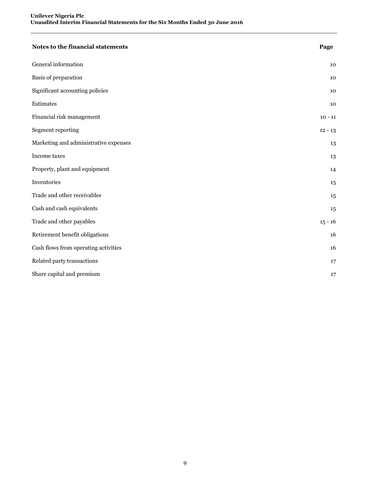| Notes to the financial statements     | Page      |
|---------------------------------------|-----------|
| General information                   | 10        |
| Basis of preparation                  | 10        |
| Significant accounting policies       | 10        |
| Estimates                             | 10        |
| Financial risk management             | $10 - 11$ |
| Segment reporting                     | $12 - 13$ |
| Marketing and administrative expenses | 13        |
| Income taxes                          | 13        |
| Property, plant and equipment         | 14        |
| Inventories                           | 15        |
| Trade and other receivables           | 15        |
| Cash and cash equivalents             | 15        |
| Trade and other payables              | $15 - 16$ |
| Retirement benefit obligations        | 16        |
| Cash flows from operating activities  | 16        |
| Related party transactions            | 17        |
| Share capital and premium             | 17        |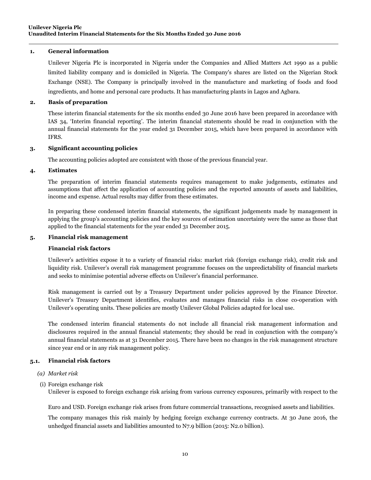### **1. General information**

Unilever Nigeria Plc is incorporated in Nigeria under the Companies and Allied Matters Act 1990 as a public limited liability company and is domiciled in Nigeria. The Company's shares are listed on the Nigerian Stock Exchange (NSE). The Company is principally involved in the manufacture and marketing of foods and food ingredients, and home and personal care products. It has manufacturing plants in Lagos and Agbara.

## **2. Basis of preparation**

These interim financial statements for the six months ended 30 June 2016 have been prepared in accordance with IAS 34, 'Interim financial reporting'. The interim financial statements should be read in conjunction with the annual financial statements for the year ended 31 December 2015, which have been prepared in accordance with IFRS.

### **3. Significant accounting policies**

The accounting policies adopted are consistent with those of the previous financial year.

## **4. Estimates**

The preparation of interim financial statements requires management to make judgements, estimates and assumptions that affect the application of accounting policies and the reported amounts of assets and liabilities, income and expense. Actual results may differ from these estimates.

In preparing these condensed interim financial statements, the significant judgements made by management in applying the group's accounting policies and the key sources of estimation uncertainty were the same as those that applied to the financial statements for the year ended 31 December 2015.

#### **5. Financial risk management**

### **Financial risk factors**

Unilever's activities expose it to a variety of financial risks: market risk (foreign exchange risk), credit risk and liquidity risk. Unilever's overall risk management programme focuses on the unpredictability of financial markets and seeks to minimise potential adverse effects on Unilever's financial performance.

Risk management is carried out by a Treasury Department under policies approved by the Finance Director. Unilever's Treasury Department identifies, evaluates and manages financial risks in close co-operation with Unilever's operating units. These policies are mostly Unilever Global Policies adapted for local use.

The condensed interim financial statements do not include all financial risk management information and disclosures required in the annual financial statements; they should be read in conjunction with the company's annual financial statements as at 31 December 2015. There have been no changes in the risk management structure since year end or in any risk management policy.

#### **5.1. Financial risk factors**

- *(a) Market risk*
- (i) Foreign exchange risk

Unilever is exposed to foreign exchange risk arising from various currency exposures, primarily with respect to the

Euro and USD. Foreign exchange risk arises from future commercial transactions, recognised assets and liabilities.

The company manages this risk mainly by hedging foreign exchange currency contracts. At 30 June 2016, the unhedged financial assets and liabilities amounted to N7.9 billion (2015: N2.0 billion).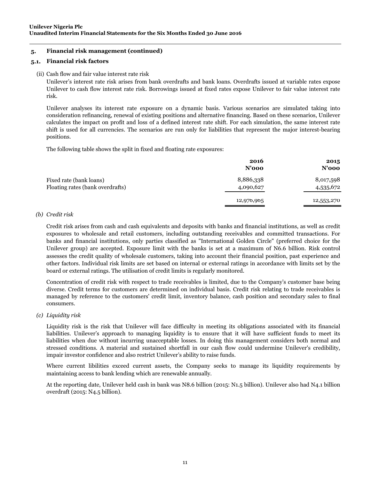## **5. Financial risk management (continued)**

## **5.1. Financial risk factors**

#### (ii) Cash flow and fair value interest rate risk

Unilever's interest rate risk arises from bank overdrafts and bank loans. Overdrafts issued at variable rates expose Unilever to cash flow interest rate risk. Borrowings issued at fixed rates expose Unilever to fair value interest rate risk.

Unilever analyses its interest rate exposure on a dynamic basis. Various scenarios are simulated taking into consideration refinancing, renewal of existing positions and alternative financing. Based on these scenarios, Unilever calculates the impact on profit and loss of a defined interest rate shift. For each simulation, the same interest rate shift is used for all currencies. The scenarios are run only for liabilities that represent the major interest-bearing positions.

The following table shows the split in fixed and floating rate exposures:

|                                                             | 2016<br>$N'$ 000       | 2015<br>$N'$ 000       |
|-------------------------------------------------------------|------------------------|------------------------|
| Fixed rate (bank loans)<br>Floating rates (bank overdrafts) | 8,886,338<br>4,090,627 | 8,017,598<br>4,535,672 |
|                                                             | 12,976,965             | 12,553,270             |

### *(b) Credit risk*

Credit risk arises from cash and cash equivalents and deposits with banks and financial institutions, as well as credit exposures to wholesale and retail customers, including outstanding receivables and committed transactions. For banks and financial institutions, only parties classified as "International Golden Circle" (preferred choice for the Unilever group) are accepted. Exposure limit with the banks is set at a maximum of N6.6 billion. Risk control assesses the credit quality of wholesale customers, taking into account their financial position, past experience and other factors. Individual risk limits are set based on internal or external ratings in accordance with limits set by the board or external ratings. The utilisation of credit limits is regularly monitored.

Concentration of credit risk with respect to trade receivables is limited, due to the Company's customer base being diverse. Credit terms for customers are determined on individual basis. Credit risk relating to trade receivables is managed by reference to the customers' credit limit, inventory balance, cash position and secondary sales to final consumers.

#### *(c) Liquidity risk*

Liquidity risk is the risk that Unilever will face difficulty in meeting its obligations associated with its financial liabilities. Unilever's approach to managing liquidity is to ensure that it will have sufficient funds to meet its liabilities when due without incurring unacceptable losses. In doing this management considers both normal and stressed conditions. A material and sustained shortfall in our cash flow could undermine Unilever's credibility, impair investor confidence and also restrict Unilever's ability to raise funds.

Where current libilities exceed current assets, the Company seeks to manage its liquidity requirements by maintaining access to bank lending which are renewable annually.

At the reporting date, Unilever held cash in bank was N8.6 billion (2015: N1.5 billion). Unilever also had N4.1 billion overdraft (2015: N4.5 billion).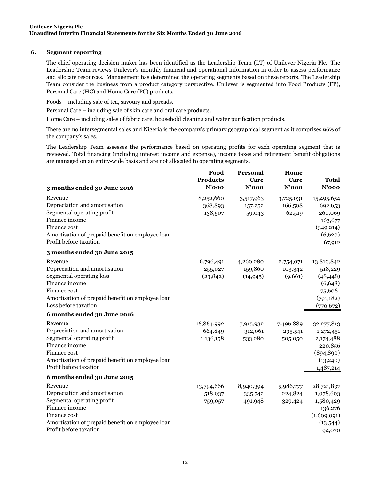### **6. Segment reporting**

The chief operating decision-maker has been identified as the Leadership Team (LT) of Unilever Nigeria Plc. The Leadership Team reviews Unilever's monthly financial and operational information in order to assess performance and allocate resources. Management has determined the operating segments based on these reports. The Leadership Team consider the business from a product category perspective. Unilever is segmented into Food Products (FP), Personal Care (HC) and Home Care (PC) products.

Foods – including sale of tea, savoury and spreads.

Personal Care – including sale of skin care and oral care products.

Home Care – including sales of fabric care, household cleaning and water purification products.

There are no intersegmental sales and Nigeria is the company's primary geographical segment as it comprises 96% of the company's sales.

The Leadership Team assesses the performance based on operating profits for each operating segment that is reviewed. Total financing (including interest income and expense), income taxes and retirement benefit obligations are managed on an entity-wide basis and are not allocated to operating segments.

|                                                                            | Food<br><b>Products</b><br>$N'$ 000 | Personal<br>Care<br>$N'$ 000 | Home<br>Care<br>$N'$ 000 | <b>Total</b><br>$N'$ 000 |
|----------------------------------------------------------------------------|-------------------------------------|------------------------------|--------------------------|--------------------------|
| 3 months ended 30 June 2016                                                |                                     |                              |                          |                          |
| Revenue                                                                    | 8,252,660                           | 3,517,963                    | 3,725,031                | 15,495,654               |
| Depreciation and amortisation                                              | 368,893                             | 157,252                      | 166,508                  | 692,653                  |
| Segmental operating profit                                                 | 138,507                             | 59,043                       | 62,519                   | 260,069                  |
| Finance income                                                             |                                     |                              |                          | 163,677                  |
| Finance cost                                                               |                                     |                              |                          | (349, 214)               |
| Amortisation of prepaid benefit on employee loan<br>Profit before taxation |                                     |                              |                          | (6,620)                  |
|                                                                            |                                     |                              |                          | 67,912                   |
| 3 months ended 30 June 2015                                                |                                     |                              |                          |                          |
| Revenue                                                                    | 6,796,491                           | 4,260,280                    | 2,754,071                | 13,810,842               |
| Depreciation and amortisation                                              | 255,027                             | 159,860                      | 103,342                  | 518,229                  |
| Segmental operating loss                                                   | (23, 842)                           | (14, 945)                    | (9,661)                  | (48, 448)                |
| Finance income                                                             |                                     |                              |                          | (6,648)                  |
| Finance cost                                                               |                                     |                              |                          | 75,606                   |
| Amortisation of prepaid benefit on employee loan<br>Loss before taxation   |                                     |                              |                          | (791, 182)               |
|                                                                            |                                     |                              |                          | (770, 672)               |
| 6 months ended 30 June 2016                                                |                                     |                              |                          |                          |
| Revenue                                                                    | 16,864,992                          | 7,915,932                    | 7,496,889                | 32,277,813               |
| Depreciation and amortisation                                              | 664,849                             | 312,061                      | 295,541                  | 1,272,451                |
| Segmental operating profit                                                 | 1,136,158                           | 533,280                      | 505,050                  | 2,174,488                |
| Finance income                                                             |                                     |                              |                          | 220,856                  |
| Finance cost<br>Amortisation of prepaid benefit on employee loan           |                                     |                              |                          | (894, 890)<br>(13, 240)  |
| Profit before taxation                                                     |                                     |                              |                          | 1,487,214                |
| 6 months ended 30 June 2015                                                |                                     |                              |                          |                          |
|                                                                            |                                     |                              |                          |                          |
| Revenue                                                                    | 13,794,666                          | 8,940,394                    | 5,986,777                | 28,721,837               |
| Depreciation and amortisation<br>Segmental operating profit                | 518,037                             | 335,742                      | 224,824                  | 1,078,603                |
| Finance income                                                             | 759,057                             | 491,948                      | 329,424                  | 1,580,429                |
| Finance cost                                                               |                                     |                              |                          | 136,276<br>(1,609,091)   |
| Amortisation of prepaid benefit on employee loan                           |                                     |                              |                          | (13,544)                 |
| Profit before taxation                                                     |                                     |                              |                          | 94,070                   |
|                                                                            |                                     |                              |                          |                          |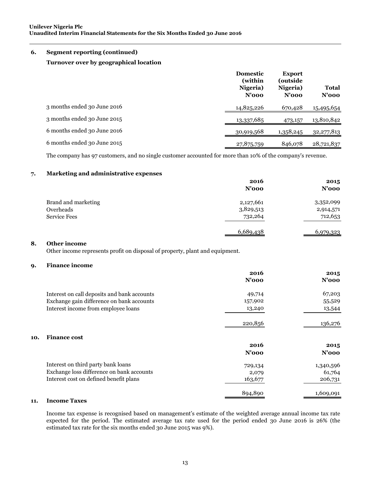### **6. Segment reporting (continued)**

### **Turnover over by geographical location**

|                             | <b>Domestic</b><br>(within<br>Nigeria)<br>$N'$ 000 | <b>Export</b><br>(outside<br>Nigeria)<br>$N'$ 000 | Total<br>$N'$ 000 |
|-----------------------------|----------------------------------------------------|---------------------------------------------------|-------------------|
| 3 months ended 30 June 2016 | 14,825,226                                         | 670,428                                           | 15,495,654        |
| 3 months ended 30 June 2015 | 13,337,685                                         | 473,157                                           | 13,810,842        |
| 6 months ended 30 June 2016 | 30,919,568                                         | 1,358,245                                         | 32, 277, 813      |
| 6 months ended 30 June 2015 | 27,875,759                                         | 846,078                                           | 28,721,837        |

The company has 97 customers, and no single customer accounted for more than 10% of the company's revenue.

## **7. Marketing and administrative expenses**

|                     | 2016<br>$N'$ 000 | 2015<br>N'ooo |
|---------------------|------------------|---------------|
| Brand and marketing | 2,127,661        | 3,352,099     |
| Overheads           | 3,829,513        | 2,914,571     |
| <b>Service Fees</b> | 732,264          | 712,653       |
|                     | 6,689,438        | 6,979,323     |

## **8. Other income**

Other income represents profit on disposal of property, plant and equipment.

#### **9. Finance income**

|     |                                             | 2016     | 2015      |
|-----|---------------------------------------------|----------|-----------|
|     |                                             | $N'$ 000 | $N'$ 000  |
|     | Interest on call deposits and bank accounts | 49,714   | 67,203    |
|     | Exchange gain difference on bank accounts   | 157,902  | 55,529    |
|     | Interest income from employee loans         | 13,240   | 13,544    |
|     |                                             | 220,856  | 136,276   |
| 10. | <b>Finance cost</b>                         |          |           |
|     |                                             | 2016     | 2015      |
|     |                                             | $N'$ 000 | $N'$ 000  |
|     | Interest on third party bank loans          | 729,134  | 1,340,596 |
|     | Exchange loss difference on bank accounts   | 2,079    | 61,764    |
|     | Interest cost on defined benefit plans      | 163,677  | 206,731   |
|     |                                             | 894,890  | 1,609,091 |
| 11. | <b>Income Taxes</b>                         |          |           |

Income tax expense is recognised based on management's estimate of the weighted average annual income tax rate expected for the period. The estimated average tax rate used for the period ended 30 June 2016 is 26% (the estimated tax rate for the six months ended 30 June 2015 was 9%).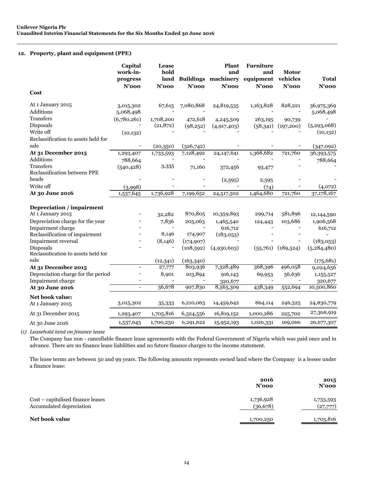#### **12. Property, plant and equipment (PPE)**

|                                                           | Capital<br>work-in-<br>progress<br>$N'$ 000 | Lease<br>hold<br>$N'$ 000 | $N'$ 000              | Plant<br>and<br>land Buildings machinery<br>$N'$ 000 | <b>Furniture</b><br>and<br>equipment vehicles<br>$N'$ 000 | <b>Motor</b><br>$N'$ 000 | <b>Total</b><br>$N'$ 000 |
|-----------------------------------------------------------|---------------------------------------------|---------------------------|-----------------------|------------------------------------------------------|-----------------------------------------------------------|--------------------------|--------------------------|
| Cost                                                      |                                             |                           |                       |                                                      |                                                           |                          |                          |
| At 1 January 2015                                         | 3,015,302                                   | 67,615                    | 7,080,868             | 24,819,535                                           | 1,163,828                                                 | 828,221                  | 36,975,369               |
| Additions                                                 | 5,068,498                                   |                           |                       |                                                      |                                                           |                          | 5,068,498                |
| Transfers                                                 | (6,780,261)                                 | 1,708,200                 | 472,618               | 4,245,509                                            | 263,195                                                   | 90,739                   |                          |
| Disposals                                                 |                                             | (21, 872)                 | (98,252)              | (4,917,403)                                          | (58, 341)                                                 | (197,200)                | (5,293,068)              |
| Write off                                                 | (10, 132)                                   |                           |                       |                                                      |                                                           |                          | (10, 132)                |
| Reclassification to assets held for                       |                                             |                           |                       |                                                      |                                                           |                          |                          |
| sale                                                      |                                             | (20,350)                  | (326,742)             |                                                      |                                                           |                          | (347,092)                |
| At 31 December 2015                                       | 1,293,407                                   | 1,733,593                 | 7,128,492             | 24,147,641                                           | 1,368,682                                                 | 721,760                  | 36,393,575               |
| Additions                                                 | 788,664                                     |                           |                       |                                                      |                                                           |                          | 788,664                  |
| Transfers                                                 | (540, 428)                                  | 3,335                     | 71,160                | 372,456                                              | 93,477                                                    |                          |                          |
| Reclassification between PPE                              |                                             |                           |                       |                                                      |                                                           |                          |                          |
| heads                                                     |                                             |                           |                       | (2,595)                                              | 2,595                                                     |                          |                          |
| Write off                                                 | (3,998)                                     |                           |                       |                                                      | (74)                                                      |                          | (4,072)                  |
| At 30 June 2016                                           | 1,537,645                                   | 1,736,928                 | 7,199,652             | 24,517,502                                           | 1,464,680                                                 | 721,760                  | 37,178,167               |
|                                                           |                                             |                           |                       |                                                      |                                                           |                          |                          |
| <b>Depreciation</b> / impairment                          |                                             |                           |                       |                                                      |                                                           |                          |                          |
| At 1 January 2015                                         |                                             | 32,282                    | 870,805               | 10,359,893                                           | 299,714                                                   | 581,896                  | 12,144,590               |
| Depreciation charge for the year                          |                                             | 7,836                     | 205,063               | 1,465,540                                            | 124,443                                                   | 103,686                  | 1,906,568                |
| Impairment charge                                         |                                             |                           |                       | 616,712                                              |                                                           |                          | 616,712                  |
| Reclassification of impairment                            |                                             | 8,146                     | 174,907               | (183,053)                                            |                                                           |                          |                          |
| <b>Impairment reversal</b>                                |                                             | (8, 146)                  | (174, 907)            |                                                      |                                                           |                          | (183,053)                |
| <b>Disposals</b>                                          |                                             |                           | (108, 592)            | (4,930,603)                                          | (55,761)                                                  | (189, 524)               | (5,284,480)              |
| Reclassification to assets held for<br>sale               |                                             |                           |                       |                                                      |                                                           |                          |                          |
|                                                           | $\overline{\phantom{m}}$                    | (12, 341)<br>27,777       | (163, 340)<br>803,936 | 7,328,489                                            | 368,396                                                   | 496,058                  | (175, 681)               |
| At 31 December 2015<br>Depreciation charge for the period |                                             |                           |                       |                                                      |                                                           |                          | 9,024,656                |
|                                                           |                                             | 8,901                     | 103,894               | 916,143                                              | 69,953                                                    | 56,636                   | 1,155,527                |
| Impairment charge<br>At 30 June 2016                      | $\blacksquare$                              | 36,678                    | 907,830               | 320,677<br>8,565,309                                 | 438,349                                                   | 552,694                  | 320,677<br>10,500,860    |
|                                                           |                                             |                           |                       |                                                      |                                                           |                          |                          |
| Net book value:<br>At 1 January 2015                      | 3,015,302                                   | 35,333                    | 6,210,063             | 14,459,642                                           | 864,114                                                   | 246,325                  | 24,830,779               |
| At 31 December 2015                                       | 1,293,407                                   | 1,705,816                 | 6,324,556             | 16,819,152                                           | 1,000,286                                                 | 225,702                  | 27,368,919               |
| At 30 June 2016                                           | 1,537,645                                   | 1,700,250                 | 6,291,822             | 15,952,193                                           | 1,026,331                                                 | 169,066                  | 26,677,307               |

*(i) Leasehold land on finance lease*

The Company has non - cancellable finance lease agreements with the Federal Government of Nigeria which was paid once and in advance. There are no finance lease liabilities and no future finance charges to the income statement.

The lease terms are between 50 and 99 years. The following amounts represents owned land where the Company is a lessee under a finance lease:

|                                                               | 2016<br>$N'$ 000      | 2015<br>$N'$ 000      |
|---------------------------------------------------------------|-----------------------|-----------------------|
| Cost – capitalised finance leases<br>Accumulated depreciation | 1,736,928<br>(36,678) | 1,733,593<br>(27,777) |
| <b>Net book value</b>                                         | 1,700,250             | 1,705,816             |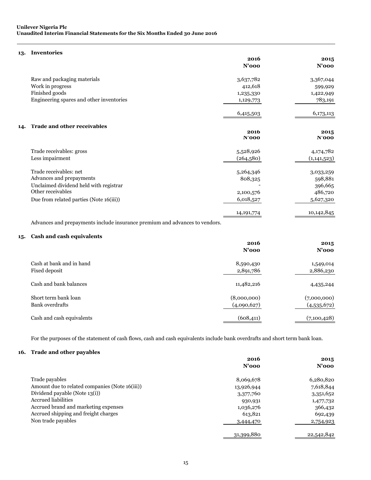#### **13. Inventories**

|                                           | 2016<br>$N'$ 000 | 2015<br>$N'$ 000 |
|-------------------------------------------|------------------|------------------|
| Raw and packaging materials               | 3,637,782        | 3,367,044        |
| Work in progress                          | 412,618          | 599,929          |
| Finished goods                            | 1,235,330        | 1,422,949        |
| Engineering spares and other inventories  | 1,129,773        | 783,191          |
|                                           | 6,415,503        | 6,173,113        |
| <b>Trade and other receivables</b><br>14. |                  |                  |
|                                           | 2016<br>$N'$ 000 | 2015<br>$N'$ 000 |
| Trade receivables: gross                  | 5,528,926        | 4,174,782        |
| Less impairment                           | (264,580)        | (1,141,523)      |
| Trade receivables: net                    | 5,264,346        | 3,033,259        |
| Advances and prepayments                  | 808,325          | 598,881          |
| Unclaimed dividend held with registrar    |                  | 396,665          |
| Other receivables                         | 2,100,576        | 486,720          |
| Due from related parties (Note 16(iii))   | 6,018,527        | 5,627,320        |
|                                           | 14, 191, 774     | 10,142,845       |

Advances and prepayments include insurance premium and advances to vendors.

#### **15. Cash and cash equivalents**

|                                                | 2016<br>$N'$ 000           | 2015<br>$N'$ 000           |
|------------------------------------------------|----------------------------|----------------------------|
| Cash at bank and in hand<br>Fixed deposit      | 8,590,430<br>2,891,786     | 1,549,014<br>2,886,230     |
| Cash and bank balances                         | 11,482,216                 | 4,435,244                  |
| Short term bank loan<br><b>Bank</b> overdrafts | (8,000,000)<br>(4,090,627) | (7,000,000)<br>(4,535,672) |
| Cash and cash equivalents                      | (608, 411)                 | (7,100,428)                |

For the purposes of the statement of cash flows, cash and cash equivalents include bank overdrafts and short term bank loan.

### **16. Trade and other payables**

|                                                | 2016<br>$N'$ 000 | 2015<br>$N'$ 000 |
|------------------------------------------------|------------------|------------------|
|                                                |                  |                  |
| Trade payables                                 | 8,069,678        | 6,280,820        |
| Amount due to related companies (Note 16(iii)) | 13,926,944       | 7,618,844        |
| Dividend payable (Note 13(i))                  | 3,377,760        | 3,351,652        |
| <b>Accrued liabilities</b>                     | 930,931          | 1,477,732        |
| Accrued brand and marketing expenses           | 1,036,276        | 366,432          |
| Accrued shipping and freight charges           | 613,821          | 692,439          |
| Non trade payables                             | 3,444,470        | 2,754,923        |
|                                                | 31,399,880       | 22,542,842       |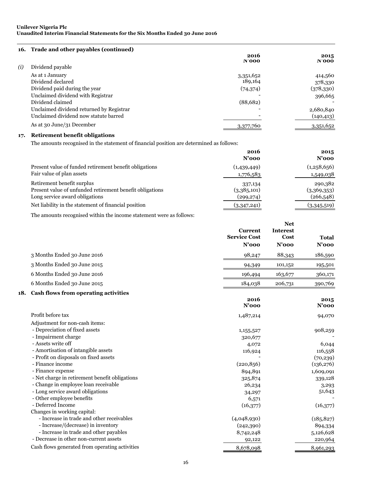| 16. Trade and other payables (continued) |           |            |
|------------------------------------------|-----------|------------|
|                                          | 2016      | 2015       |
|                                          | N'000     | N'000      |
| Dividend payable                         |           |            |
| As at 1 January                          | 3,351,652 | 414,560    |
| Dividend declared                        | 189,164   | 378,330    |
| Dividend paid during the year            | (74, 374) | (378,330)  |
| Unclaimed dividend with Registrar        |           | 396,665    |
| Dividend claimed                         | (88,682)  |            |
| Unclaimed dividend returned by Registrar |           | 2,680,840  |
| Unclaimed dividend now statute barred    |           | (140, 413) |
| As at 30 June/31 December                | 3,377,760 | 3,351,652  |
|                                          |           |            |

## **17. Retirement benefit obligations**

The amounts recognised in the statement of financial position are determined as follows:

|                                                          | 2016<br>$N'$ 000 | 2015<br>$N'$ 000 |
|----------------------------------------------------------|------------------|------------------|
| Present value of funded retirement benefit obligations   | (1,439,449)      | (1,258,656)      |
| Fair value of plan assets                                | 1,776,583        | 1,549,038        |
| Retirement benefit surplus                               | 337,134          | 290,382          |
| Present value of unfunded retirement benefit obligations | (3,385,101)      | (3,369,353)      |
| Long service award obligations                           | (299, 274)       | (266, 548)       |
| Net liability in the statement of financial position     | (3,347,241)      | (3,345,519)      |

The amounts recognised within the income statement were as follows:

|     |                                                                                                                                                                                                                                                                                                                                                                      | <b>Current</b><br><b>Service Cost</b><br>$N'$ 000                                                | <b>Net</b><br><b>Interest</b><br>Cost<br>$N'$ 000 | <b>Total</b><br>$N'$ 000                                                                          |
|-----|----------------------------------------------------------------------------------------------------------------------------------------------------------------------------------------------------------------------------------------------------------------------------------------------------------------------------------------------------------------------|--------------------------------------------------------------------------------------------------|---------------------------------------------------|---------------------------------------------------------------------------------------------------|
|     | 3 Months Ended 30 June 2016                                                                                                                                                                                                                                                                                                                                          | 98,247                                                                                           | 88,343                                            | 186,590                                                                                           |
|     | 3 Months Ended 30 June 2015                                                                                                                                                                                                                                                                                                                                          | 94,349                                                                                           | 101,152                                           | 195,501                                                                                           |
|     | 6 Months Ended 30 June 2016                                                                                                                                                                                                                                                                                                                                          | 196,494                                                                                          | 163,677                                           | 360,171                                                                                           |
|     | 6 Months Ended 30 June 2015                                                                                                                                                                                                                                                                                                                                          | 184,038                                                                                          | 206,731                                           | 390,769                                                                                           |
| 18. | Cash flows from operating activities                                                                                                                                                                                                                                                                                                                                 |                                                                                                  |                                                   |                                                                                                   |
|     |                                                                                                                                                                                                                                                                                                                                                                      | 2016<br>$N'$ 000                                                                                 |                                                   | 2015<br>$N'$ 000                                                                                  |
|     | Profit before tax                                                                                                                                                                                                                                                                                                                                                    | 1,487,214                                                                                        |                                                   | 94,070                                                                                            |
|     | Adjustment for non-cash items:<br>- Depreciation of fixed assets<br>- Impairment charge<br>- Assets write off<br>- Amortisation of intangible assets<br>- Profit on disposals on fixed assets<br>- Finance income<br>- Finance expense<br>- Net charge in retirement benefit obligations<br>- Change in employee loan receivable<br>- Long service award obligations | 1,155,527<br>320,677<br>4,072<br>116,924<br>(220, 856)<br>894,891<br>325,874<br>26,234<br>34,297 |                                                   | 908,259<br>6,044<br>116,558<br>(70, 239)<br>(136, 276)<br>1,609,091<br>339,128<br>3,293<br>51,643 |
|     | - Other employee benefits<br>- Deferred Income<br>Changes in working capital:                                                                                                                                                                                                                                                                                        | 6,571<br>(16, 377)                                                                               |                                                   | (16, 377)                                                                                         |
|     | - Increase in trade and other receivables<br>- Increase/(decrease) in inventory<br>- Increase in trade and other payables                                                                                                                                                                                                                                            | (4,048,930)<br>(242, 390)<br>8,742,248                                                           |                                                   | (185, 827)<br>894,334<br>5,126,628                                                                |
|     | - Decrease in other non-current assets<br>Cash flows generated from operating activities                                                                                                                                                                                                                                                                             | 92,122<br>8,678,098                                                                              |                                                   | 220,964<br>8,961,293                                                                              |
|     |                                                                                                                                                                                                                                                                                                                                                                      |                                                                                                  |                                                   |                                                                                                   |